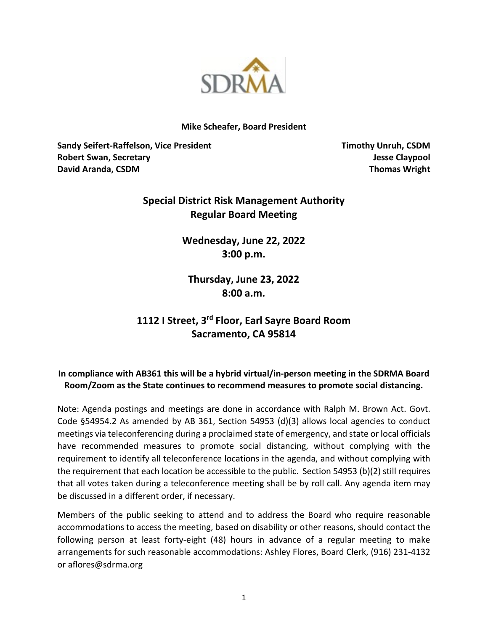

### **Mike Scheafer, Board President**

**Sandy Seifert-Raffelson, Vice President Timothy Unruh, CSDM Robert Swan, Secretary Jesse Claypool David Aranda, CSDM Thomas Wright**

# **Special District Risk Management Authority Regular Board Meeting**

**Wednesday, June 22, 2022 3:00 p.m.**

**Thursday, June 23, 2022 8:00 a.m.**

# **1112 I Street, 3rd Floor, Earl Sayre Board Room Sacramento, CA 95814**

# **In compliance with AB361 this will be a hybrid virtual/in-person meeting in the SDRMA Board Room/Zoom as the State continues to recommend measures to promote social distancing.**

Note: Agenda postings and meetings are done in accordance with Ralph M. Brown Act. Govt. Code §54954.2 As amended by AB 361, Section 54953 (d)(3) allows local agencies to conduct meetings via teleconferencing during a proclaimed state of emergency, and state or local officials have recommended measures to promote social distancing, without complying with the requirement to identify all teleconference locations in the agenda, and without complying with the requirement that each location be accessible to the public. Section 54953 (b)(2) still requires that all votes taken during a teleconference meeting shall be by roll call. Any agenda item may be discussed in a different order, if necessary.

Members of the public seeking to attend and to address the Board who require reasonable accommodations to access the meeting, based on disability or other reasons, should contact the following person at least forty-eight (48) hours in advance of a regular meeting to make arrangements for such reasonable accommodations: Ashley Flores, Board Clerk, (916) 231-4132 or aflores@sdrma.org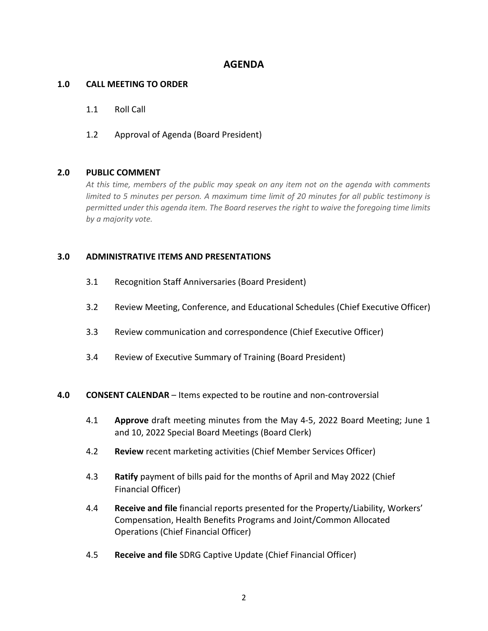# **AGENDA**

# **1.0 CALL MEETING TO ORDER**

# 1.1 Roll Call

# 1.2 Approval of Agenda (Board President)

### **2.0 PUBLIC COMMENT**

*At this time, members of the public may speak on any item not on the agenda with comments limited to 5 minutes per person. A maximum time limit of 20 minutes for all public testimony is permitted under this agenda item. The Board reserves the right to waive the foregoing time limits by a majority vote.*

# **3.0 ADMINISTRATIVE ITEMS AND PRESENTATIONS**

- 3.1 Recognition Staff Anniversaries (Board President)
- 3.2 Review Meeting, Conference, and Educational Schedules (Chief Executive Officer)
- 3.3 Review communication and correspondence (Chief Executive Officer)
- 3.4 Review of Executive Summary of Training (Board President)

#### **4.0 CONSENT CALENDAR** – Items expected to be routine and non-controversial

- 4.1 **Approve** draft meeting minutes from the May 4-5, 2022 Board Meeting; June 1 and 10, 2022 Special Board Meetings (Board Clerk)
- 4.2 **Review** recent marketing activities (Chief Member Services Officer)
- 4.3 **Ratify** payment of bills paid for the months of April and May 2022 (Chief Financial Officer)
- 4.4 **Receive and file** financial reports presented for the Property/Liability, Workers' Compensation, Health Benefits Programs and Joint/Common Allocated Operations (Chief Financial Officer)
- 4.5 **Receive and file** SDRG Captive Update (Chief Financial Officer)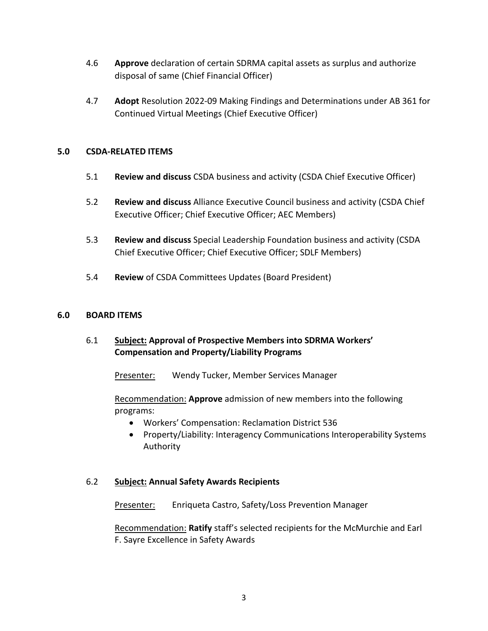- 4.6 **Approve** declaration of certain SDRMA capital assets as surplus and authorize disposal of same (Chief Financial Officer)
- 4.7 **Adopt** Resolution 2022-09 Making Findings and Determinations under AB 361 for Continued Virtual Meetings (Chief Executive Officer)

# **5.0 CSDA-RELATED ITEMS**

- 5.1 **Review and discuss** CSDA business and activity (CSDA Chief Executive Officer)
- 5.2 **Review and discuss** Alliance Executive Council business and activity (CSDA Chief Executive Officer; Chief Executive Officer; AEC Members)
- 5.3 **Review and discuss** Special Leadership Foundation business and activity (CSDA Chief Executive Officer; Chief Executive Officer; SDLF Members)
- 5.4 **Review** of CSDA Committees Updates (Board President)

# **6.0 BOARD ITEMS**

6.1 **Subject: Approval of Prospective Members into SDRMA Workers' Compensation and Property/Liability Programs** 

Presenter: Wendy Tucker, Member Services Manager

Recommendation: **Approve** admission of new members into the following programs:

- Workers' Compensation: Reclamation District 536
- Property/Liability: Interagency Communications Interoperability Systems Authority

# 6.2 **Subject: Annual Safety Awards Recipients**

Presenter: Enriqueta Castro, Safety/Loss Prevention Manager

Recommendation: **Ratify** staff's selected recipients for the McMurchie and Earl F. Sayre Excellence in Safety Awards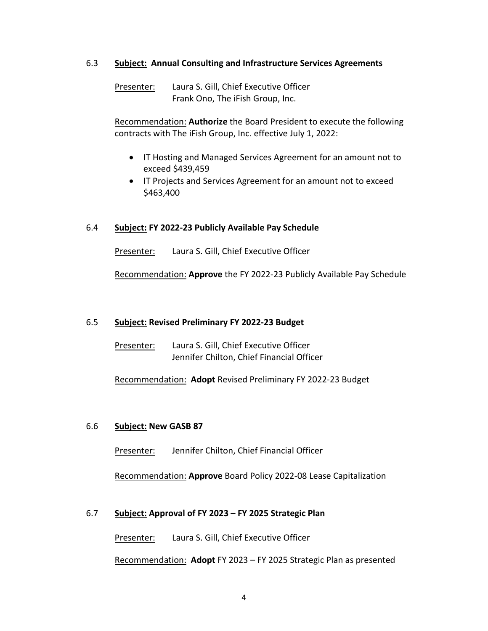# 6.3 **Subject: Annual Consulting and Infrastructure Services Agreements**

Presenter: Laura S. Gill, Chief Executive Officer Frank Ono, The iFish Group, Inc.

Recommendation: **Authorize** the Board President to execute the following contracts with The iFish Group, Inc. effective July 1, 2022:

- IT Hosting and Managed Services Agreement for an amount not to exceed \$439,459
- IT Projects and Services Agreement for an amount not to exceed \$463,400

# 6.4 **Subject: FY 2022-23 Publicly Available Pay Schedule**

Presenter: Laura S. Gill, Chief Executive Officer

Recommendation: **Approve** the FY 2022-23 Publicly Available Pay Schedule

#### 6.5 **Subject: Revised Preliminary FY 2022-23 Budget**

| Presenter: | Laura S. Gill, Chief Executive Officer    |
|------------|-------------------------------------------|
|            | Jennifer Chilton, Chief Financial Officer |

Recommendation: **Adopt** Revised Preliminary FY 2022-23 Budget

#### 6.6 **Subject: New GASB 87**

Presenter: Jennifer Chilton, Chief Financial Officer

Recommendation: **Approve** Board Policy 2022-08 Lease Capitalization

#### 6.7 **Subject: Approval of FY 2023 – FY 2025 Strategic Plan**

Presenter: Laura S. Gill, Chief Executive Officer

Recommendation: **Adopt** FY 2023 – FY 2025 Strategic Plan as presented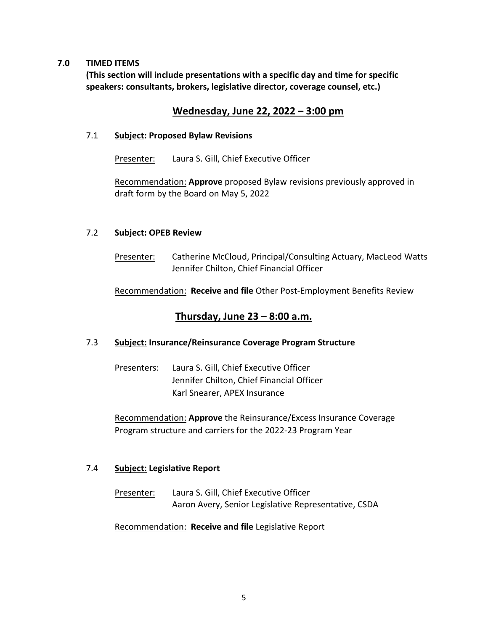# **7.0 TIMED ITEMS**

**(This section will include presentations with a specific day and time for specific speakers: consultants, brokers, legislative director, coverage counsel, etc.)** 

# **Wednesday, June 22, 2022 – 3:00 pm**

# 7.1 **Subject: Proposed Bylaw Revisions**

Presenter: Laura S. Gill, Chief Executive Officer

Recommendation: **Approve** proposed Bylaw revisions previously approved in draft form by the Board on May 5, 2022

# 7.2 **Subject: OPEB Review**

Presenter: Catherine McCloud, Principal/Consulting Actuary, MacLeod Watts Jennifer Chilton, Chief Financial Officer

Recommendation: **Receive and file** Other Post-Employment Benefits Review

# **Thursday, June 23 – 8:00 a.m.**

# 7.3 **Subject: Insurance/Reinsurance Coverage Program Structure**

Presenters: Laura S. Gill, Chief Executive Officer Jennifer Chilton, Chief Financial Officer Karl Snearer, APEX Insurance

Recommendation: **Approve** the Reinsurance/Excess Insurance Coverage Program structure and carriers for the 2022-23 Program Year

# 7.4 **Subject: Legislative Report**

Presenter: Laura S. Gill, Chief Executive Officer Aaron Avery, Senior Legislative Representative, CSDA

Recommendation: **Receive and file** Legislative Report